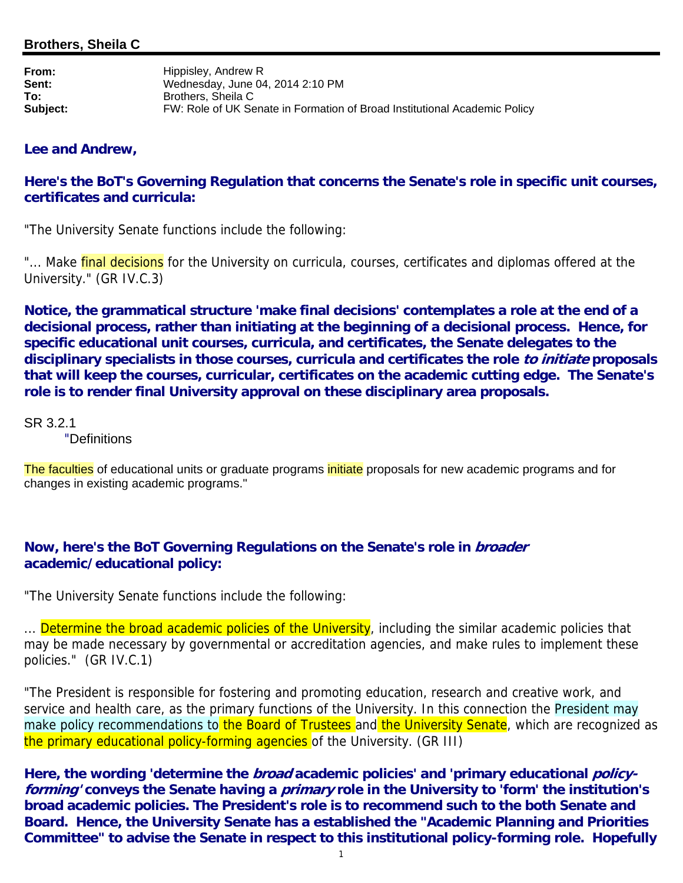**From:** Hippisley, Andrew R **Sent:** Wednesday, June 04, 2014 2:10 PM **To:** Brothers, Sheila C **Subject:** FW: Role of UK Senate in Formation of Broad Institutional Academic Policy

## **Lee and Andrew,**

## **Here's the BoT's Governing Regulation that concerns the Senate's role in specific unit courses, certificates and curricula:**

"The University Senate functions include the following:

"... Make final decisions for the University on curricula, courses, certificates and diplomas offered at the University." (GR IV.C.3)

**Notice, the grammatical structure 'make final decisions' contemplates a role at the end of a decisional process, rather than initiating at the beginning of a decisional process. Hence, for specific educational unit courses, curricula, and certificates, the Senate delegates to the disciplinary specialists in those courses, curricula and certificates the role to initiate proposals that will keep the courses, curricular, certificates on the academic cutting edge. The Senate's role is to render final University approval on these disciplinary area proposals.**

SR 3.2.1

"Definitions

The faculties of educational units or graduate programs initiate proposals for new academic programs and for changes in existing academic programs."

## **Now, here's the BoT Governing Regulations on the Senate's role in broader academic/educational policy:**

"The University Senate functions include the following:

... Determine the broad academic policies of the University, including the similar academic policies that may be made necessary by governmental or accreditation agencies, and make rules to implement these policies." (GR IV.C.1)

"The President is responsible for fostering and promoting education, research and creative work, and service and health care, as the primary functions of the University. In this connection the President may make policy recommendations to the Board of Trustees and the University Senate, which are recognized as the primary educational policy-forming agencies of the University. (GR III)

Here, the wording 'determine the *broad* academic policies' and 'primary educational *policy***forming' conveys the Senate having a primary role in the University to 'form' the institution's broad academic policies. The President's role is to recommend such to the both Senate and Board. Hence, the University Senate has a established the "Academic Planning and Priorities Committee" to advise the Senate in respect to this institutional policy-forming role. Hopefully**